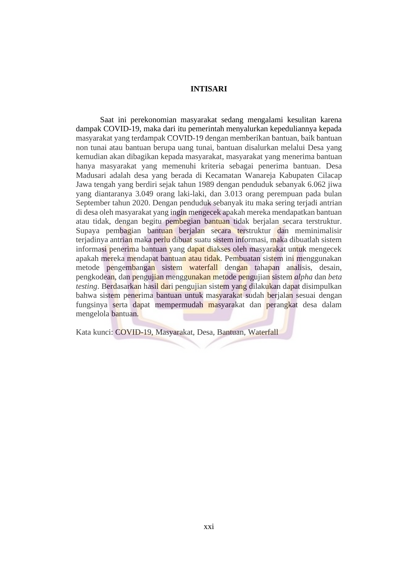## **INTISARI**

Saat ini perekonomian masyarakat sedang mengalami kesulitan karena dampak COVID-19, maka dari itu pemerintah menyalurkan kepeduliannya kepada masyarakat yang terdampak COVID-19 dengan memberikan bantuan, baik bantuan non tunai atau bantuan berupa uang tunai, bantuan disalurkan melalui Desa yang kemudian akan dibagikan kepada masyarakat, masyarakat yang menerima bantuan hanya masyarakat yang memenuhi kriteria sebagai penerima bantuan. Desa Madusari adalah desa yang berada di Kecamatan Wanareja Kabupaten Cilacap Jawa tengah yang berdiri sejak tahun 1989 dengan penduduk sebanyak 6.062 jiwa yang diantaranya 3.049 orang laki-laki, dan 3.013 orang perempuan pada bulan September tahun 2020. Dengan penduduk sebanyak itu maka sering terjadi antrian di desa oleh masyarakat yang ingin mengecek apakah mereka mendapatkan bantuan atau tidak, dengan begitu pembegian bantuan tidak berjalan secara terstruktur. Supaya pembagian bantuan berjalan secara terstruktur dan meminimalisir terjadinya antrian maka perlu dibuat suatu sistem informasi, maka dibuatlah sistem informasi penerima bantuan yang dapat diakses oleh masyarakat untuk mengecek apakah mereka mendapat bantuan atau tidak. Pembuatan sistem ini menggunakan metode pengembangan sistem waterfall dengan tahapan analisis, desain, pengkodean, dan pengujian menggunakan metode pengujian sistem *alpha* dan *beta testing*. Berdasarkan hasil dari pengujian sistem yang dilakukan dapat disimpulkan bahwa sistem penerima bantuan untuk masyarakat sudah berjalan sesuai dengan fungsinya serta dapat mempermudah masyarakat dan perangkat desa dalam mengelola bantuan.

Kata kunci: COVID-19, Masyarakat, Desa, Bantuan, Waterfall